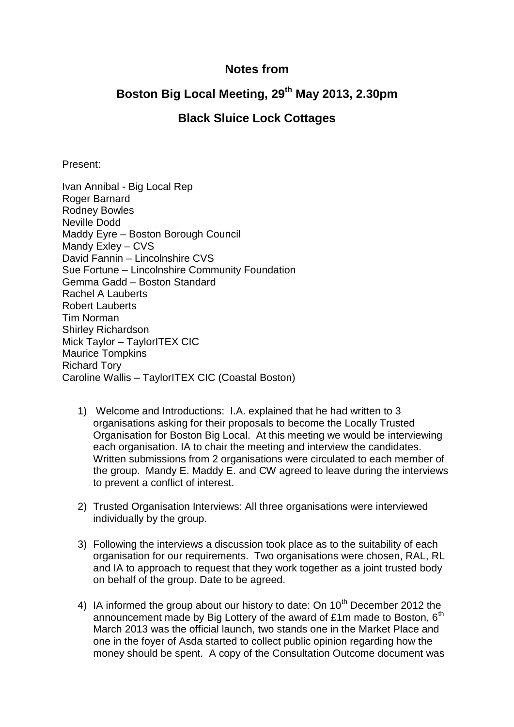## **Notes from**

## **Boston Big Local Meeting, 29th May 2013, 2.30pm**

## **Black Sluice Lock Cottages**

Present:

Ivan Annibal - Big Local Rep Roger Barnard Rodney Bowles Neville Dodd Maddy Eyre – Boston Borough Council Mandy Exley – CVS David Fannin – Lincolnshire CVS Sue Fortune – Lincolnshire Community Foundation Gemma Gadd – Boston Standard Rachel A Lauberts Robert Lauberts Tim Norman Shirley Richardson Mick Taylor – TaylorITEX CIC Maurice Tompkins Richard Tory Caroline Wallis – TaylorITEX CIC (Coastal Boston)

- 1) Welcome and Introductions: I.A. explained that he had written to 3 organisations asking for their proposals to become the Locally Trusted Organisation for Boston Big Local. At this meeting we would be interviewing each organisation. IA to chair the meeting and interview the candidates. Written submissions from 2 organisations were circulated to each member of the group. Mandy E. Maddy E. and CW agreed to leave during the interviews to prevent a conflict of interest.
- 2) Trusted Organisation Interviews: All three organisations were interviewed individually by the group.
- 3) Following the interviews a discussion took place as to the suitability of each organisation for our requirements. Two organisations were chosen, RAL, RL and IA to approach to request that they work together as a joint trusted body on behalf of the group. Date to be agreed.
- 4) IA informed the group about our history to date: On  $10<sup>th</sup>$  December 2012 the announcement made by Big Lottery of the award of £1m made to Boston,  $6<sup>th</sup>$ March 2013 was the official launch, two stands one in the Market Place and one in the foyer of Asda started to collect public opinion regarding how the money should be spent. A copy of the Consultation Outcome document was